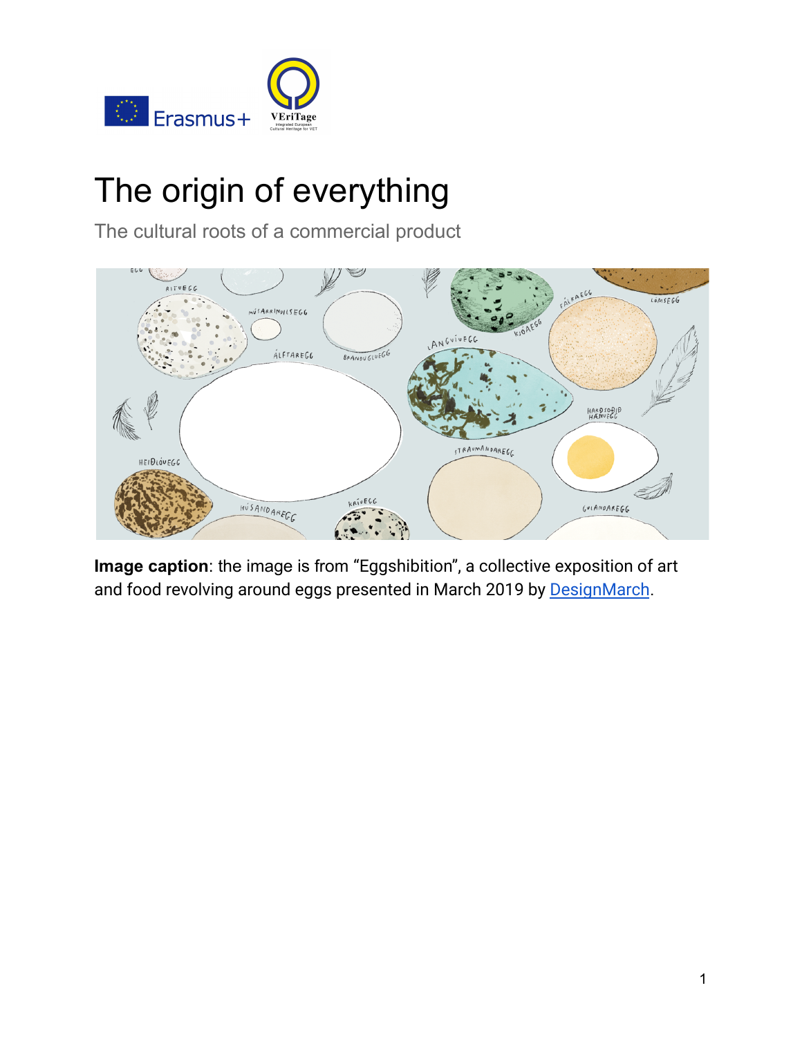

# The origin of everything

The cultural roots of a commercial product



**Image caption**: the image is from "Eggshibition", a collective exposition of art and food revolving around eggs presented in March 2019 by [DesignMarch](https://designmarch.is/programme/2018/eggshibition).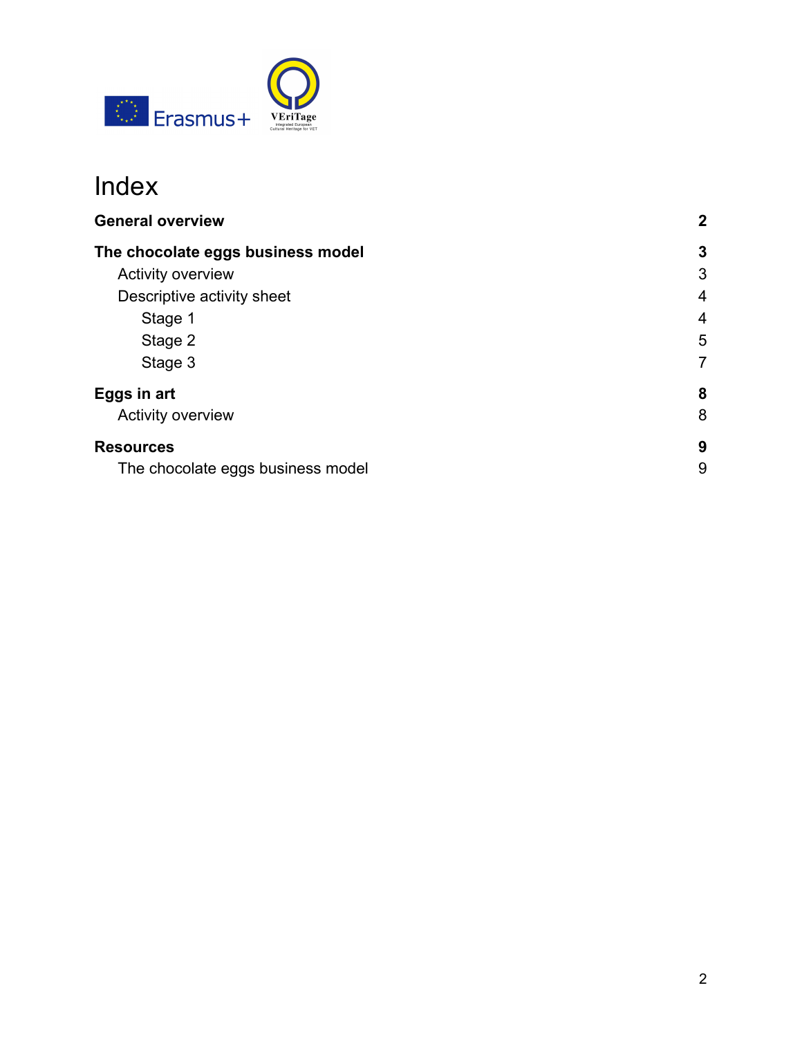

# Index

<span id="page-1-0"></span>

| <b>General overview</b>           | $\mathbf{2}$   |
|-----------------------------------|----------------|
| The chocolate eggs business model | 3              |
| <b>Activity overview</b>          | 3              |
| Descriptive activity sheet        | $\overline{4}$ |
| Stage 1                           | 4              |
| Stage 2                           | 5              |
| Stage 3                           | $\overline{7}$ |
| Eggs in art                       | 8              |
| <b>Activity overview</b>          | 8              |
| <b>Resources</b>                  | 9              |
| The chocolate eggs business model | 9              |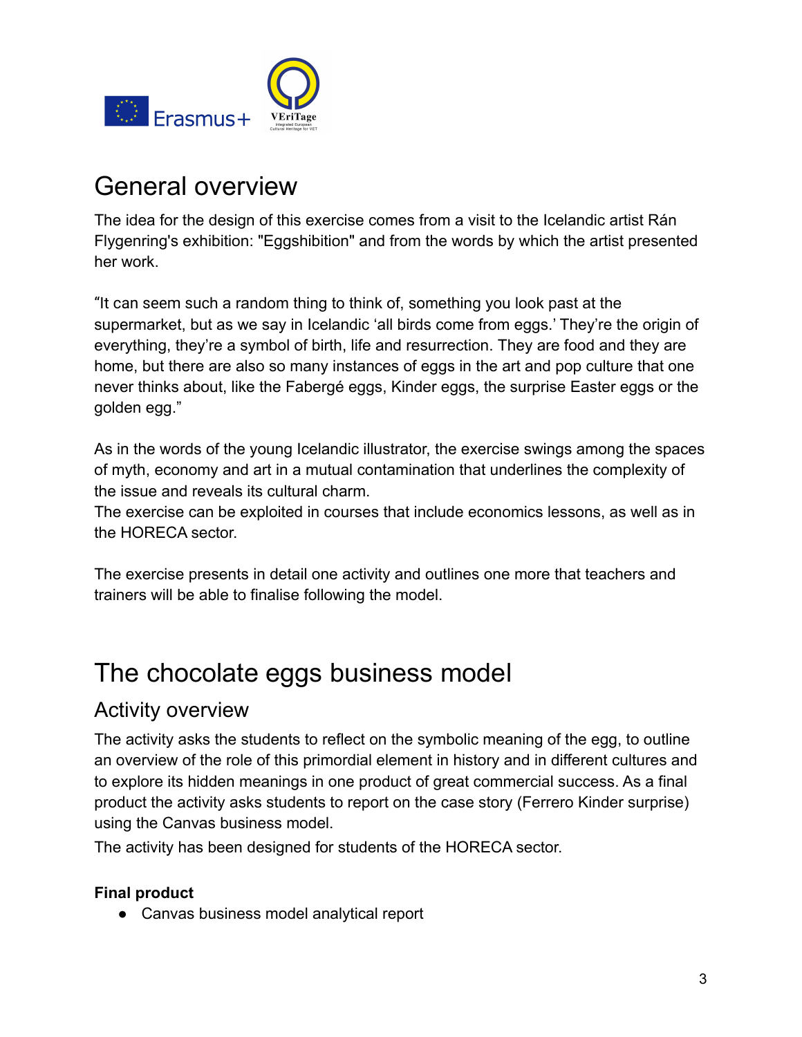

# General overview

The idea for the design of this exercise comes from a visit to the Icelandic artist Rán Flygenring's exhibition: "Eggshibition" and from the words by which the artist presented her work.

"It can seem such a random thing to think of, something you look past at the supermarket, but as we say in Icelandic 'all birds come from eggs.' They're the origin of everything, they're a symbol of birth, life and resurrection. They are food and they are home, but there are also so many instances of eggs in the art and pop culture that one never thinks about, like the Fabergé eggs, Kinder eggs, the surprise Easter eggs or the golden egg."

As in the words of the young Icelandic illustrator, the exercise swings among the spaces of myth, economy and art in a mutual contamination that underlines the complexity of the issue and reveals its cultural charm.

The exercise can be exploited in courses that include economics lessons, as well as in the HORECA sector.

The exercise presents in detail one activity and outlines one more that teachers and trainers will be able to finalise following the model.

# <span id="page-2-0"></span>The chocolate eggs business model

### <span id="page-2-1"></span>Activity overview

The activity asks the students to reflect on the symbolic meaning of the egg, to outline an overview of the role of this primordial element in history and in different cultures and to explore its hidden meanings in one product of great commercial success. As a final product the activity asks students to report on the case story (Ferrero Kinder surprise) using the Canvas business model.

The activity has been designed for students of the HORECA sector.

#### **Final product**

● Canvas business model analytical report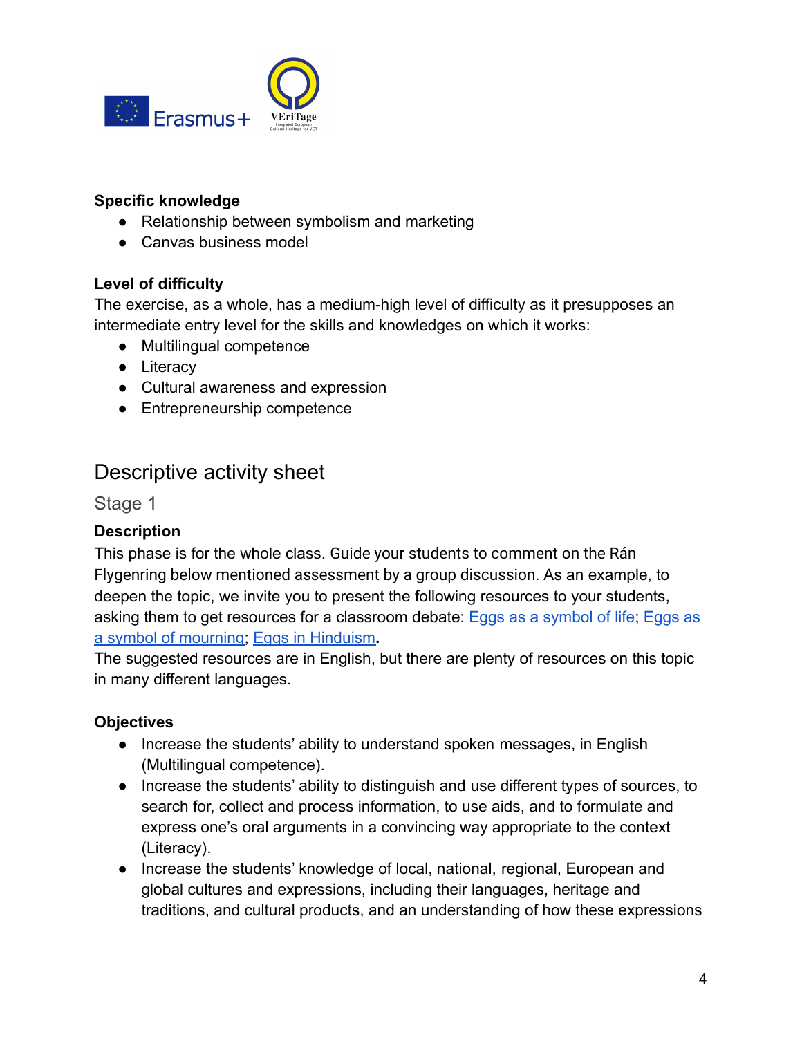

#### **Specific knowledge**

- Relationship between symbolism and marketing
- Canvas business model

#### **Level of difficulty**

The exercise, as a whole, has a medium-high level of difficulty as it presupposes an intermediate entry level for the skills and knowledges on which it works:

- Multilingual competence
- Literacy
- Cultural awareness and expression
- Entrepreneurship competence

### <span id="page-3-0"></span>Descriptive activity sheet

<span id="page-3-1"></span>Stage 1

#### **Description**

This phase is for the whole class. Guide your students to comment on the Rán Flygenring below mentioned assessment by a group discussion. As an example, to deepen the topic, we invite you to present the following resources to your students, asking them to get resources for a classroom debate: [Eggs as a symbol of life;](https://www.alimentarium.org/en/knowledge/eggs-symbol-life) [Eggs as](https://www.alimentarium.org/en/knowledge/eggs-symbol-mourning) [a symbol of mourning;](https://www.alimentarium.org/en/knowledge/eggs-symbol-mourning) [Eggs in Hinduism](https://www.alimentarium.org/en/knowledge/eggs-hinduism)**.**

The suggested resources are in English, but there are plenty of resources on this topic in many different languages.

#### **Objectives**

- Increase the students' ability to understand spoken messages, in English (Multilingual competence).
- Increase the students' ability to distinguish and use different types of sources, to search for, collect and process information, to use aids, and to formulate and express one's oral arguments in a convincing way appropriate to the context (Literacy).
- Increase the students' knowledge of local, national, regional, European and global cultures and expressions, including their languages, heritage and traditions, and cultural products, and an understanding of how these expressions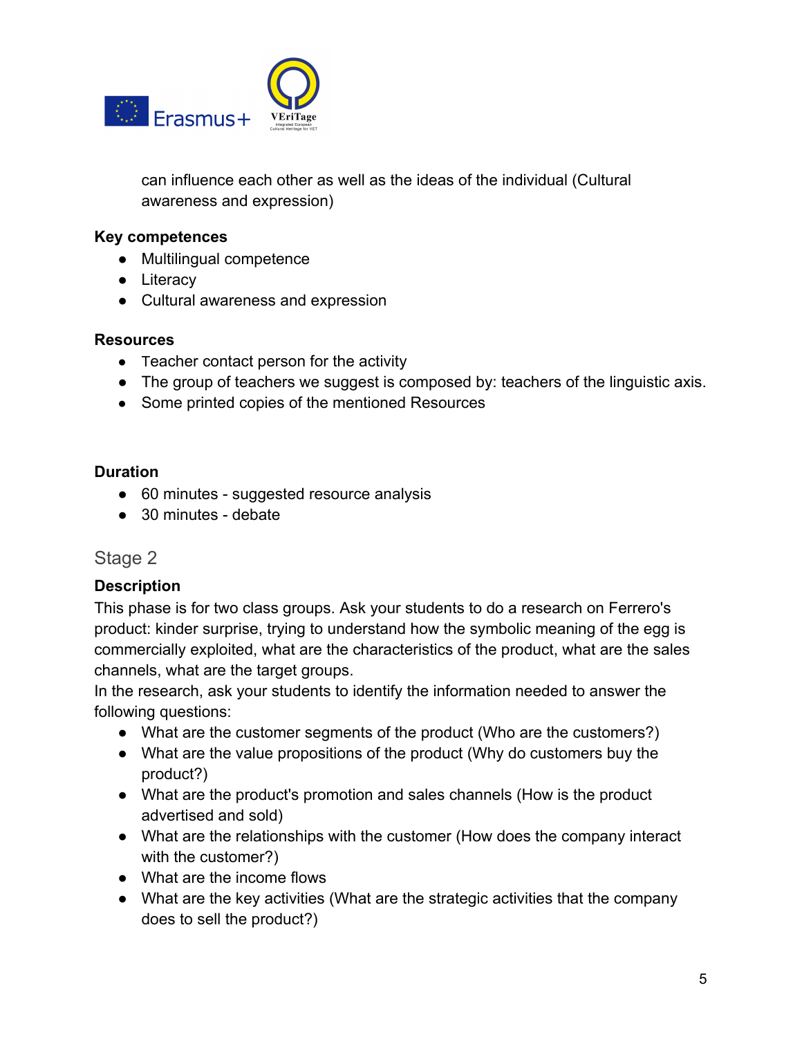

can influence each other as well as the ideas of the individual (Cultural awareness and expression)

#### **Key competences**

- Multilingual competence
- Literacy
- Cultural awareness and expression

#### **Resources**

- Teacher contact person for the activity
- The group of teachers we suggest is composed by: teachers of the linguistic axis.
- Some printed copies of the mentioned Resources

#### **Duration**

- 60 minutes suggested resource analysis
- 30 minutes debate

#### <span id="page-4-0"></span>Stage 2

#### **Description**

This phase is for two class groups. Ask your students to do a research on Ferrero's product: kinder surprise, trying to understand how the symbolic meaning of the egg is commercially exploited, what are the characteristics of the product, what are the sales channels, what are the target groups.

In the research, ask your students to identify the information needed to answer the following questions:

- What are the customer segments of the product (Who are the customers?)
- What are the value propositions of the product (Why do customers buy the product?)
- What are the product's promotion and sales channels (How is the product advertised and sold)
- What are the relationships with the customer (How does the company interact with the customer?)
- What are the income flows
- What are the key activities (What are the strategic activities that the company does to sell the product?)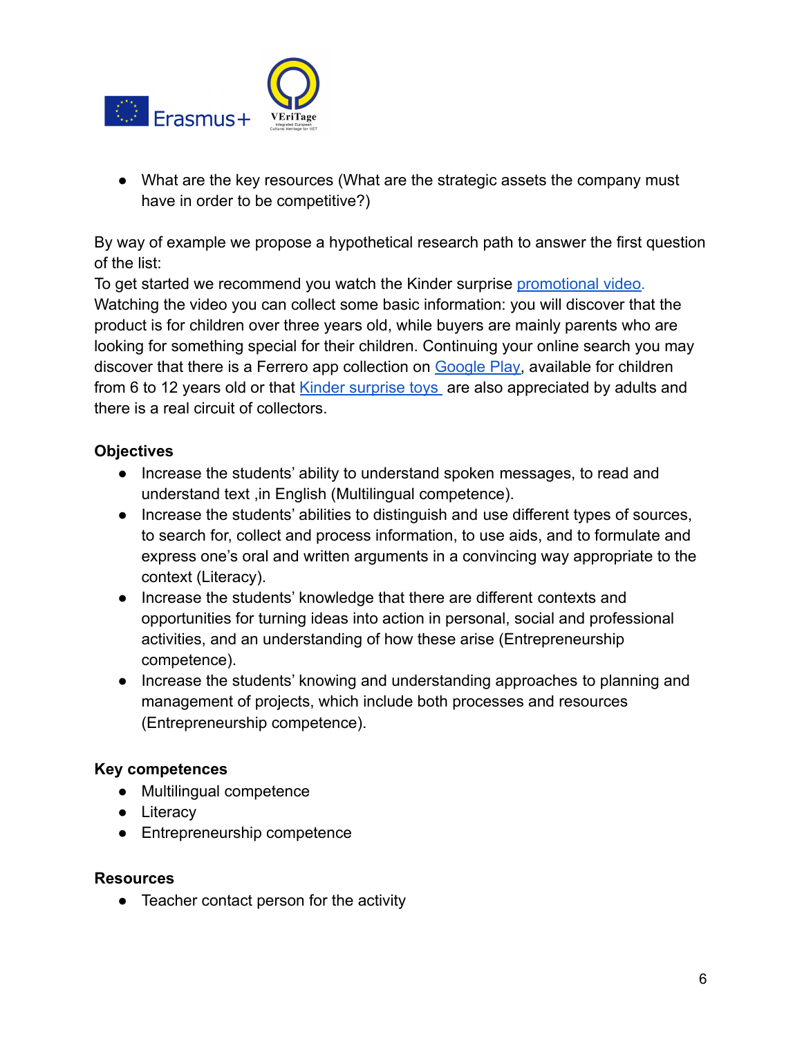

• What are the key resources (What are the strategic assets the company must have in order to be competitive?)

By way of example we propose a hypothetical research path to answer the first question of the list:

To get started we recommend you watch the Kinder surprise [promotional video.](https://www.kinder.com/uk/en/kinder-surprise) Watching the video you can collect some basic information: you will discover that the product is for children over three years old, while buyers are mainly parents who are looking for something special for their children. Continuing your online search you may discover that there is a Ferrero app collection on [Google Play,](https://play.google.com/store/apps/details?id=com.ferrero.magickinder.tablet&hl=en) available for children from 6 to 12 years old or that [Kinder surprise toys](https://www.google.com/search?q=kinder+sorpresa+collectors&source=lnms&tbm=isch&sa=X&ved=0ahUKEwj93pr5vOHjAhWByKQKHT6gDgMQ_AUIESgB&biw=1248&bih=585#imgrc=_) are also appreciated by adults and there is a real circuit of collectors.

#### **Objectives**

- Increase the students' ability to understand spoken messages, to read and understand text ,in English (Multilingual competence).
- Increase the students' abilities to distinguish and use different types of sources, to search for, collect and process information, to use aids, and to formulate and express one's oral and written arguments in a convincing way appropriate to the context (Literacy).
- Increase the students' knowledge that there are different contexts and opportunities for turning ideas into action in personal, social and professional activities, and an understanding of how these arise (Entrepreneurship competence).
- Increase the students' knowing and understanding approaches to planning and management of projects, which include both processes and resources (Entrepreneurship competence).

#### **Key competences**

- Multilingual competence
- Literacy
- Entrepreneurship competence

#### **Resources**

● Teacher contact person for the activity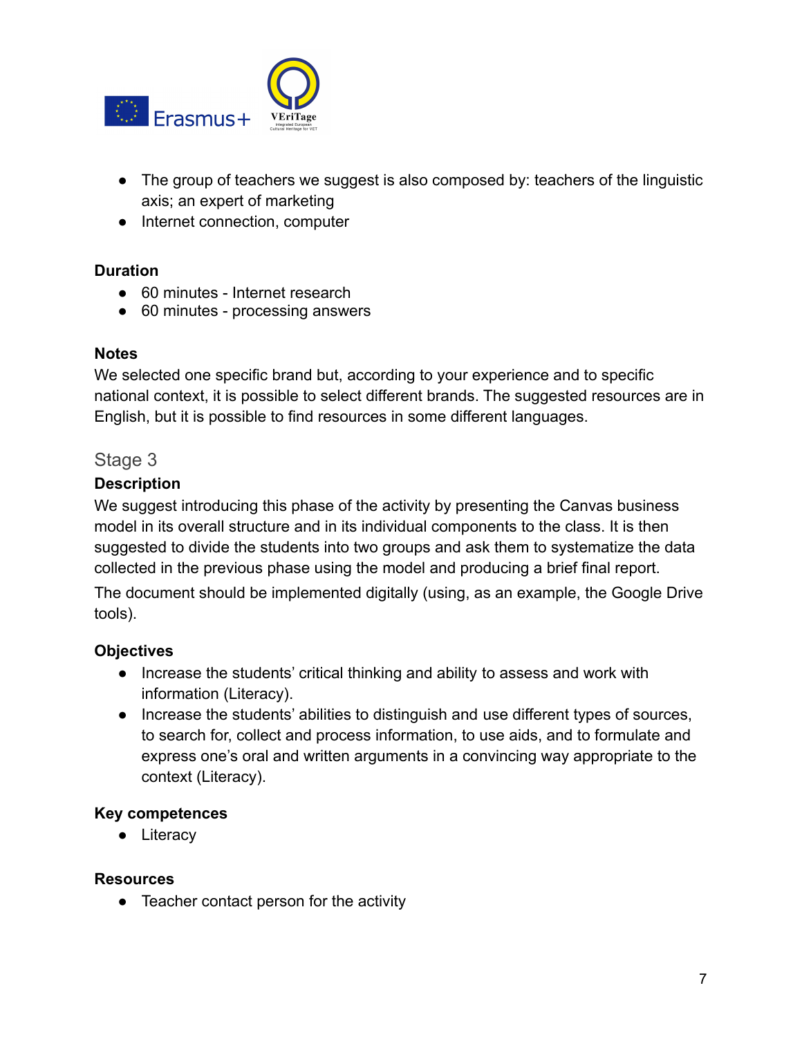

- The group of teachers we suggest is also composed by: teachers of the linguistic axis; an expert of marketing
- Internet connection, computer

#### **Duration**

- 60 minutes Internet research
- 60 minutes processing answers

#### **Notes**

We selected one specific brand but, according to your experience and to specific national context, it is possible to select different brands. The suggested resources are in English, but it is possible to find resources in some different languages.

#### Stage 3

#### **Description**

We suggest introducing this phase of the activity by presenting the Canvas business model in its overall structure and in its individual components to the class. It is then suggested to divide the students into two groups and ask them to systematize the data collected in the previous phase using the model and producing a brief final report.

The document should be implemented digitally (using, as an example, the Google Drive tools).

#### **Objectives**

- Increase the students' critical thinking and ability to assess and work with information (Literacy).
- Increase the students' abilities to distinguish and use different types of sources, to search for, collect and process information, to use aids, and to formulate and express one's oral and written arguments in a convincing way appropriate to the context (Literacy).

#### **Key competences**

• Literacy

#### **Resources**

• Teacher contact person for the activity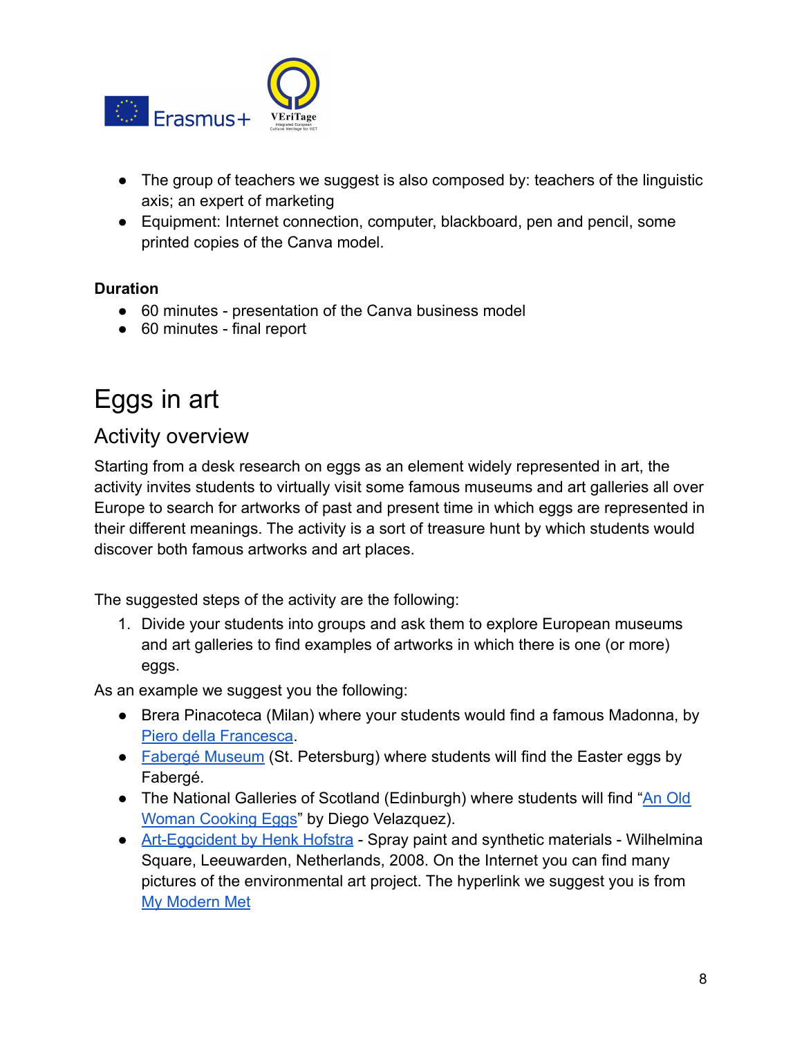

- The group of teachers we suggest is also composed by: teachers of the linguistic axis; an expert of marketing
- Equipment: Internet connection, computer, blackboard, pen and pencil, some printed copies of the Canva model.

#### **Duration**

- 60 minutes presentation of the Canva business model
- 60 minutes final report

# <span id="page-7-0"></span>Eggs in art

### <span id="page-7-1"></span>Activity overview

Starting from a desk research on eggs as an element widely represented in art, the activity invites students to virtually visit some famous museums and art galleries all over Europe to search for artworks of past and present time in which eggs are represented in their different meanings. The activity is a sort of treasure hunt by which students would discover both famous artworks and art places.

The suggested steps of the activity are the following:

1. Divide your students into groups and ask them to explore European museums and art galleries to find examples of artworks in which there is one (or more) eggs.

As an example we suggest you the following:

- Brera Pinacoteca (Milan) where your students would find a famous Madonna, by [Piero della Francesca](https://pinacotecabrera.org/en/collezione-online/opere/the-virgin-with-child-angels-and-saints/).
- [Fabergé Museum](https://fabergemuseum.ru/) (St. Petersburg) where students will find the Easter eggs by Fabergé.
- The National Galleries of Scotland (Edinburgh) where students will find "[An Old](https://www.nationalgalleries.org/art-and-artists/5531/old-woman-cooking-eggs) [Woman Cooking Eggs](https://www.nationalgalleries.org/art-and-artists/5531/old-woman-cooking-eggs)" by Diego Velazquez).
- [Art-Eggcident by Henk Hofstra](https://mymodernmet.com/environmental-art-calendar/) Spray paint and synthetic materials Wilhelmina Square, Leeuwarden, Netherlands, 2008. On the Internet you can find many pictures of the environmental art project. The hyperlink we suggest you is from [My Modern Met](https://mymodernmet.com/about/)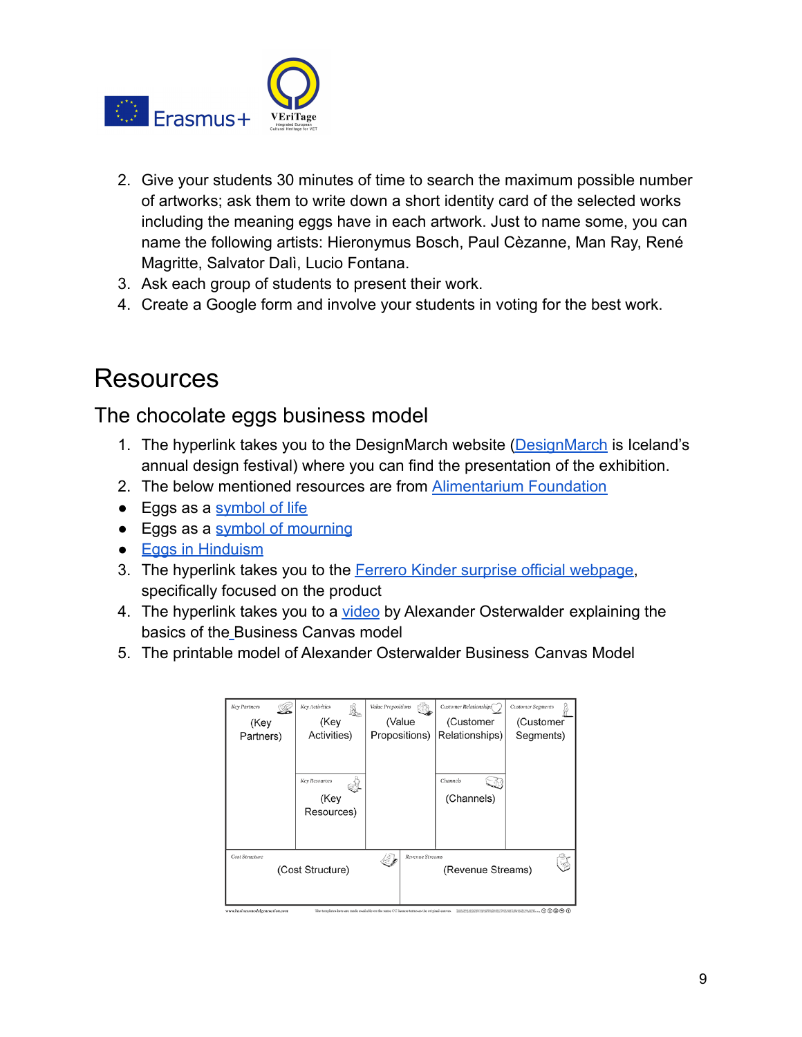

- 2. Give your students 30 minutes of time to search the maximum possible number of artworks; ask them to write down a short identity card of the selected works including the meaning eggs have in each artwork. Just to name some, you can name the following artists: Hieronymus Bosch, Paul Cèzanne, Man Ray, René Magritte, Salvator Dalì, Lucio Fontana.
- 3. Ask each group of students to present their work.
- 4. Create a Google form and involve your students in voting for the best work.

### <span id="page-8-0"></span>**Resources**

### <span id="page-8-1"></span>The chocolate eggs business model

- 1. The hyperlink takes you to the DesignMarch website [\(DesignMarch](https://designmarch.is/programme/2018/eggshibition) is Iceland's annual design festival) where you can find the presentation of the exhibition.
- 2. The below mentioned resources are from [Alimentarium](http://www.alimentarium.org.) Foundation
- Eggs as a [symbol of life](https://www.alimentarium.org/en/knowledge/eggs-symbol-life)
- Eggs as a [symbol of mourning](https://www.alimentarium.org/en/knowledge/eggs-symbol-mourning)
- [Eggs in Hinduism](https://www.alimentarium.org/en/knowledge/eggs-hinduism)
- 3. The hyperlink takes you to the [Ferrero Kinder surprise](https://www.ferrerocsr.com/our-focus/kinder-surprise-joy/amazing-prodcuts/?lang=EN) official webpage, specifically focused on the product
- 4. The hyperlink takes you to a [video](https://www.youtube.com/watch?v=2FumwkBMhLo) by Alexander Osterwalder explaining the basics of th[e](https://www.youtube.com/watch?v=2FumwkBMhLo) Business Canvas model
- 5. The printable model of Alexander Osterwalder Business Canvas Model